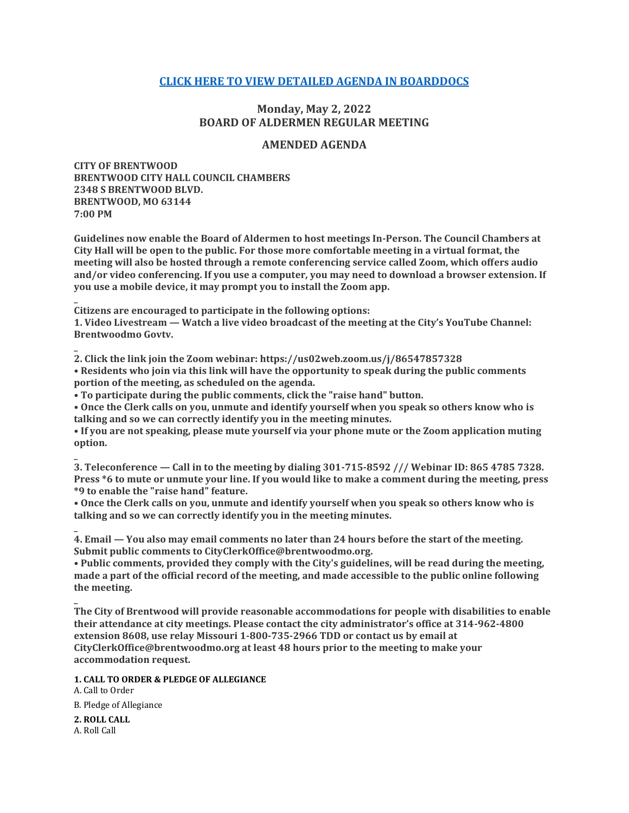# **[CLICK HERE TO VIEW DETAILED AGENDA IN BOARDDOCS](http://go.boarddocs.com/mo/cob/Board.nsf/goto?open&id=CCKLK85687CD)**

# **Monday, May 2, 2022 BOARD OF ALDERMEN REGULAR MEETING**

## **AMENDED AGENDA**

**CITY OF BRENTWOOD BRENTWOOD CITY HALL COUNCIL CHAMBERS 2348 S BRENTWOOD BLVD. BRENTWOOD, MO 63144 7:00 PM**

**Guidelines now enable the Board of Aldermen to host meetings In-Person. The Council Chambers at City Hall will be open to the public. For those more comfortable meeting in a virtual format, the meeting will also be hosted through a remote conferencing service called Zoom, which offers audio and/or video conferencing. If you use a computer, you may need to download a browser extension. If you use a mobile device, it may prompt you to install the Zoom app.**

**Citizens are encouraged to participate in the following options:**

**1. Video Livestream — Watch a live video broadcast of the meeting at the City's YouTube Channel: Brentwoodmo Govtv.**

**2. Click the link join the Zoom webinar: https://us02web.zoom.us/j/86547857328 • Residents who join via this link will have the opportunity to speak during the public comments portion of the meeting, as scheduled on the agenda.**

**• To participate during the public comments, click the "raise hand" button.**

**• Once the Clerk calls on you, unmute and identify yourself when you speak so others know who is talking and so we can correctly identify you in the meeting minutes.**

**• If you are not speaking, please mute yourself via your phone mute or the Zoom application muting option.**

**3. Teleconference — Call in to the meeting by dialing 301-715-8592 /// Webinar ID: 865 4785 7328. Press \*6 to mute or unmute your line. If you would like to make a comment during the meeting, press \*9 to enable the "raise hand" feature.**

**• Once the Clerk calls on you, unmute and identify yourself when you speak so others know who is talking and so we can correctly identify you in the meeting minutes.**

**4. Email — You also may email comments no later than 24 hours before the start of the meeting. Submit public comments to CityClerkOffice@brentwoodmo.org.**

**• Public comments, provided they comply with the City's guidelines, will be read during the meeting, made a part of the official record of the meeting, and made accessible to the public online following the meeting.**

**The City of Brentwood will provide reasonable accommodations for people with disabilities to enable their attendance at city meetings. Please contact the city administrator's office at 314-962-4800 extension 8608, use relay Missouri 1-800-735-2966 TDD or contact us by email at CityClerkOffice@brentwoodmo.org at least 48 hours prior to the meeting to make your accommodation request.**

**1. CALL TO ORDER & PLEDGE OF ALLEGIANCE**

A. Call to Order B. Pledge of Allegiance

**2. ROLL CALL** A. Roll Call

**\_**

**\_**

**\_**

**\_**

**\_**